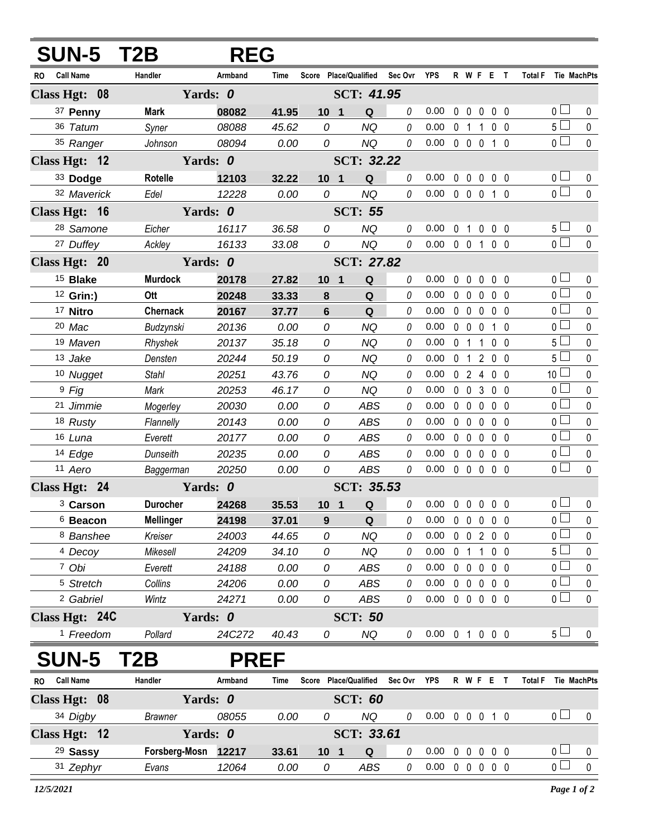| <b>SUN-5 T2B</b>        | <b>REG</b>       |                        |             |                       |                   |             |                                    |              |                |                |                   |  |                        |                  |
|-------------------------|------------------|------------------------|-------------|-----------------------|-------------------|-------------|------------------------------------|--------------|----------------|----------------|-------------------|--|------------------------|------------------|
| <b>Call Name</b><br>RO. | Handler          | Armband                | Time        | Score Place/Qualified |                   | Sec Ovr YPS |                                    |              |                |                | R W F E T         |  | Total F Tie MachPts    |                  |
| Class Hgt: 08           | Yards: 0         |                        |             | SCT: 41.95            |                   |             |                                    |              |                |                |                   |  |                        |                  |
| 37 Penny                | <b>Mark</b>      | 08082                  | 41.95       | 10 <sub>1</sub>       | Q                 | 0           | 0.00                               | 0            | 0              | 0              | 0 <sub>0</sub>    |  | 0                      | 0                |
| 36 Tatum                | Syner            | 08088                  | 45.62       | 0                     | <b>NQ</b>         | 0           | 0.00                               | 0            | $\mathbf 1$    | 1              | 0 <sub>0</sub>    |  | 5 <sub>1</sub>         | $\pmb{0}$        |
| 35 Ranger               | Johnson          | 08094                  | 0.00        | 0                     | <b>NQ</b>         | 0           | 0.00                               | $\mathbf 0$  | $\mathbf 0$    | $\mathbf 0$    | 1 <sub>0</sub>    |  | $\overline{0}$         | $\pmb{0}$        |
| Class Hgt: 12           | Yards: 0         |                        |             |                       | <b>SCT: 32.22</b> |             |                                    |              |                |                |                   |  |                        |                  |
| 33 Dodge                | Rotelle          | 12103                  | 32.22       | 10 <sub>1</sub>       | Q                 | 0           | 0.00                               | 0            | $\mathbf 0$    | $\mathbf 0$    | $0\quad 0$        |  | 0 <sup>1</sup>         | 0                |
| 32 Maverick             | Edel             | 12228                  | 0.00        | 0                     | <b>NQ</b>         | 0           | 0.00                               |              | $0\quad 0$     | $\mathbf 0$    | 1 <sub>0</sub>    |  | $\overline{0}$         | $\pmb{0}$        |
| Class Hgt: 16           | Yards: 0         |                        |             |                       | <b>SCT: 55</b>    |             |                                    |              |                |                |                   |  |                        |                  |
| <sup>28</sup> Samone    | Eicher           | 16117                  | 36.58       | 0                     | <b>NQ</b>         | 0           | 0.00                               | $\mathbf{0}$ | $\mathbf{1}$   | 0              | $0\quad 0$        |  | 5 <sub>1</sub>         | 0                |
| 27 Duffey               | Ackley           | 16133                  | 33.08       | 0                     | <b>NQ</b>         | 0           | 0.00                               |              | $0\quad 0$     | $\mathbf{1}$   | 0 <sub>0</sub>    |  | $\overline{0}$         | $\pmb{0}$        |
| Class Hgt: 20           |                  | Yards: 0<br>SCT: 27.82 |             |                       |                   |             |                                    |              |                |                |                   |  |                        |                  |
| <sup>15</sup> Blake     | <b>Murdock</b>   | 20178                  | 27.82       | 10 <sub>1</sub>       | Q                 | 0           | 0.00                               | $\mathbf{0}$ | $\mathbf{0}$   | 0              | 0 <sub>0</sub>    |  | $\overline{0}$         | 0                |
| <sup>12</sup> Grin:)    | Ott              | 20248                  | 33.33       | 8                     | Q                 | 0           | 0.00                               | $\mathbf 0$  | $\mathbf 0$    | $\mathbf 0$    | 0 <sub>0</sub>    |  | $\overline{0}$         | $\pmb{0}$        |
| 17 Nitro                | <b>Chernack</b>  | 20167                  | 37.77       | $6\phantom{1}$        | Q                 | 0           | 0.00                               |              | $0\quad 0$     | $\mathbf 0$    | 0 <sub>0</sub>    |  | 0 <sub>0</sub>         | $\pmb{0}$        |
| 20 Mac                  | Budzynski        | 20136                  | 0.00        | 0                     | <b>NQ</b>         | 0           | 0.00                               | $\mathbf 0$  | $\mathbf 0$    | $\mathbf 0$    | $1\quad$ $\Omega$ |  | 0 <sub>1</sub>         | $\pmb{0}$        |
| 19 Maven                | Rhyshek          | 20137                  | 35.18       | 0                     | <b>NQ</b>         | 0           | 0.00                               | $\mathbf 0$  | $\mathbf 1$    | 1              | 0 <sub>0</sub>    |  | 5 <sub>1</sub>         | $\pmb{0}$        |
| 13 Jake                 | Densten          | 20244                  | 50.19       | 0                     | <b>NQ</b>         | 0           | 0.00                               | 0            | $\mathbf{1}$   | $\overline{2}$ | 0 <sub>0</sub>    |  | 5 <sub>1</sub>         | $\pmb{0}$        |
| 10 Nugget               | <b>Stahl</b>     | 20251                  | 43.76       | 0                     | <b>NQ</b>         | 0           | 0.00                               | $\mathbf 0$  | $\overline{2}$ | 4              | 0 <sub>0</sub>    |  | 10 <sup>1</sup>        | $\mathbf 0$      |
| $9$ Fig                 | Mark             | 20253                  | 46.17       | 0                     | <b>NQ</b>         | 0           | 0.00                               | $\mathbf{0}$ | $\mathbf 0$    | $\mathbf{3}$   | 0 <sub>0</sub>    |  | 0 <sub>1</sub>         | $\pmb{0}$        |
| 21 Jimmie               | Mogerley         | 20030                  | 0.00        | 0                     | <b>ABS</b>        | 0           | 0.00                               | 0            | $\mathbf 0$    | $\mathbf{0}$   | 0 <sub>0</sub>    |  | 0 <sub>1</sub>         | $\mathbf 0$      |
| 18 Rusty                | Flannelly        | 20143                  | 0.00        | 0                     | <b>ABS</b>        | 0           | 0.00                               | $\mathbf 0$  | $\mathbf 0$    | $\mathbf 0$    | 0 <sub>0</sub>    |  | 0 <sup>1</sup>         | $\pmb{0}$        |
| 16 Luna                 | Everett          | 20177                  | 0.00        | 0                     | <b>ABS</b>        | 0           | 0.00                               | $\mathbf 0$  | $\mathbf 0$    | 0              | 0 <sub>0</sub>    |  | 0 <sup>1</sup>         | $\mathbf 0$      |
| 14 Edge                 | Dunseith         | 20235                  | 0.00        | 0                     | <b>ABS</b>        | 0           | 0.00                               | $\mathbf 0$  | $\mathbf 0$    | $\mathbf 0$    | 0 <sub>0</sub>    |  | 0 <sub>0</sub>         | $\pmb{0}$        |
| 11 Aero                 | Baggerman        | 20250                  | 0.00        | 0                     | <b>ABS</b>        | 0           | 0.00                               |              | $0\quad 0$     | $\mathbf 0$    | 0 <sub>0</sub>    |  | $\overline{0}$         | $\mathbf 0$      |
| Class Hgt: 24           |                  | Yards: 0               |             | SCT: 35.53            |                   |             |                                    |              |                |                |                   |  |                        |                  |
| <sup>3</sup> Carson     | <b>Durocher</b>  | 24268                  | 35.53       | 10 <sub>1</sub>       | Q                 | 0           | 0.00                               |              |                |                | 00000             |  | $0-$                   | $\mathbf 0$      |
| <sup>6</sup> Beacon     | <b>Mellinger</b> | 24198                  | 37.01       | 9                     | Q                 | 0           | 0.00                               |              |                |                | 0 0 0 0 0         |  | $\overline{0}$         | 0                |
| 8 Banshee               | Kreiser          | 24003                  | 44.65       | 0                     | <b>NQ</b>         | 0           | 0.00                               |              |                |                | 0 0 2 0 0         |  | $\overline{0}$         | $\pmb{0}$        |
| <sup>4</sup> Decoy      | Mikesell         | 24209                  | 34.10       | 0                     | <b>NQ</b>         | 0           | 0.00                               |              | 0 <sub>1</sub> |                | $1 0 0$           |  | 5 <sub>1</sub>         | 0                |
| 7 Obi                   | Everett          | 24188                  | 0.00        | 0                     | ABS               | 0           | 0.00                               |              |                |                | 0 0 0 0 0         |  | 0 <sub>0</sub>         | $\mathbf 0$      |
| <sup>5</sup> Stretch    | Collins          | 24206                  | 0.00        | 0<br>0                | ABS               | 0<br>0      | 0.00<br>$0.00 \t0 \t0 \t0 \t0 \t0$ |              |                |                | 00000             |  | $0-$<br>0 <sub>0</sub> | 0<br>$\mathbf 0$ |
| <sup>2</sup> Gabriel    | Wintz            | 24271                  | 0.00        |                       | ABS               |             |                                    |              |                |                |                   |  |                        |                  |
| Class Hgt: 24C          | Yards: 0         |                        |             |                       | <b>SCT: 50</b>    |             |                                    |              |                |                |                   |  |                        |                  |
| <sup>1</sup> Freedom    | Pollard          | 24C272                 | 40.43       | 0                     | NQ                | 0           | $0.00 \t0 1 0 0 0$                 |              |                |                |                   |  | $5\perp$               | 0                |
| <b>SUN-5</b>            | T2B              |                        | <b>PREF</b> |                       |                   |             |                                    |              |                |                |                   |  |                        |                  |
| RO Call Name            | Handler          | Armband                | Time        | Score Place/Qualified |                   | Sec Ovr YPS |                                    |              |                |                | R W F E T         |  | Total F Tie MachPts    |                  |
| Class Hgt: 08           | Yards: 0         |                        |             |                       | <b>SCT: 60</b>    |             |                                    |              |                |                |                   |  |                        |                  |
| 34 Digby                | <b>Brawner</b>   | 08055                  | 0.00        | 0                     | NQ                | 0           | $0.00 \t0 \t0 \t0 \t1 \t0$         |              |                |                |                   |  | 0 <sub>0</sub>         | 0                |
| Class Hgt: 12           | Yards: 0         |                        |             |                       | SCT: 33.61        |             |                                    |              |                |                |                   |  |                        |                  |
| <sup>29</sup> Sassy     | Forsberg-Mosn    | 12217                  | 33.61       | 10 <sub>1</sub>       | Q                 | 0           | 0.00                               |              | $0\quad 0$     | $\mathbf 0$    | 0 <sub>0</sub>    |  | 0 <sub>0</sub>         | 0                |
| 31 Zephyr               | Evans            | 12064                  | 0.00        | 0                     | ABS               | 0           | $0.00 \t0 \t0 \t0 \t0 \t0$         |              |                |                |                   |  | $\overline{0}$         | $\pmb{0}$        |